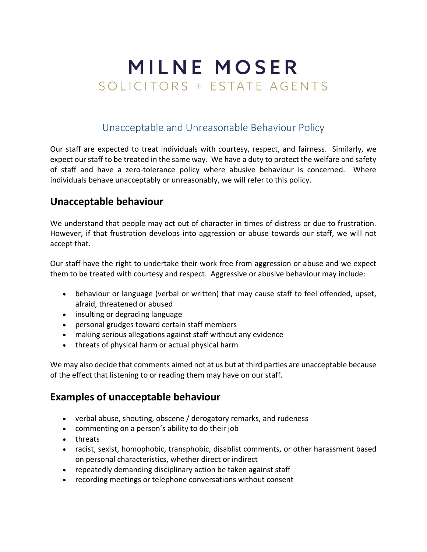# **MILNE MOSER** SOLICITORS + ESTATE AGENTS

## Unacceptable and Unreasonable Behaviour Policy

Our staff are expected to treat individuals with courtesy, respect, and fairness. Similarly, we expect our staff to be treated in the same way. We have a duty to protect the welfare and safety of staff and have a zero-tolerance policy where abusive behaviour is concerned. Where individuals behave unacceptably or unreasonably, we will refer to this policy.

### **Unacceptable behaviour**

We understand that people may act out of character in times of distress or due to frustration. However, if that frustration develops into aggression or abuse towards our staff, we will not accept that.

Our staff have the right to undertake their work free from aggression or abuse and we expect them to be treated with courtesy and respect. Aggressive or abusive behaviour may include:

- behaviour or language (verbal or written) that may cause staff to feel offended, upset, afraid, threatened or abused
- insulting or degrading language
- personal grudges toward certain staff members
- making serious allegations against staff without any evidence
- threats of physical harm or actual physical harm

We may also decide that comments aimed not at us but at third parties are unacceptable because of the effect that listening to or reading them may have on our staff.

#### **Examples of unacceptable behaviour**

- verbal abuse, shouting, obscene / derogatory remarks, and rudeness
- commenting on a person's ability to do their job
- threats
- racist, sexist, homophobic, transphobic, disablist comments, or other harassment based on personal characteristics, whether direct or indirect
- repeatedly demanding disciplinary action be taken against staff
- recording meetings or telephone conversations without consent